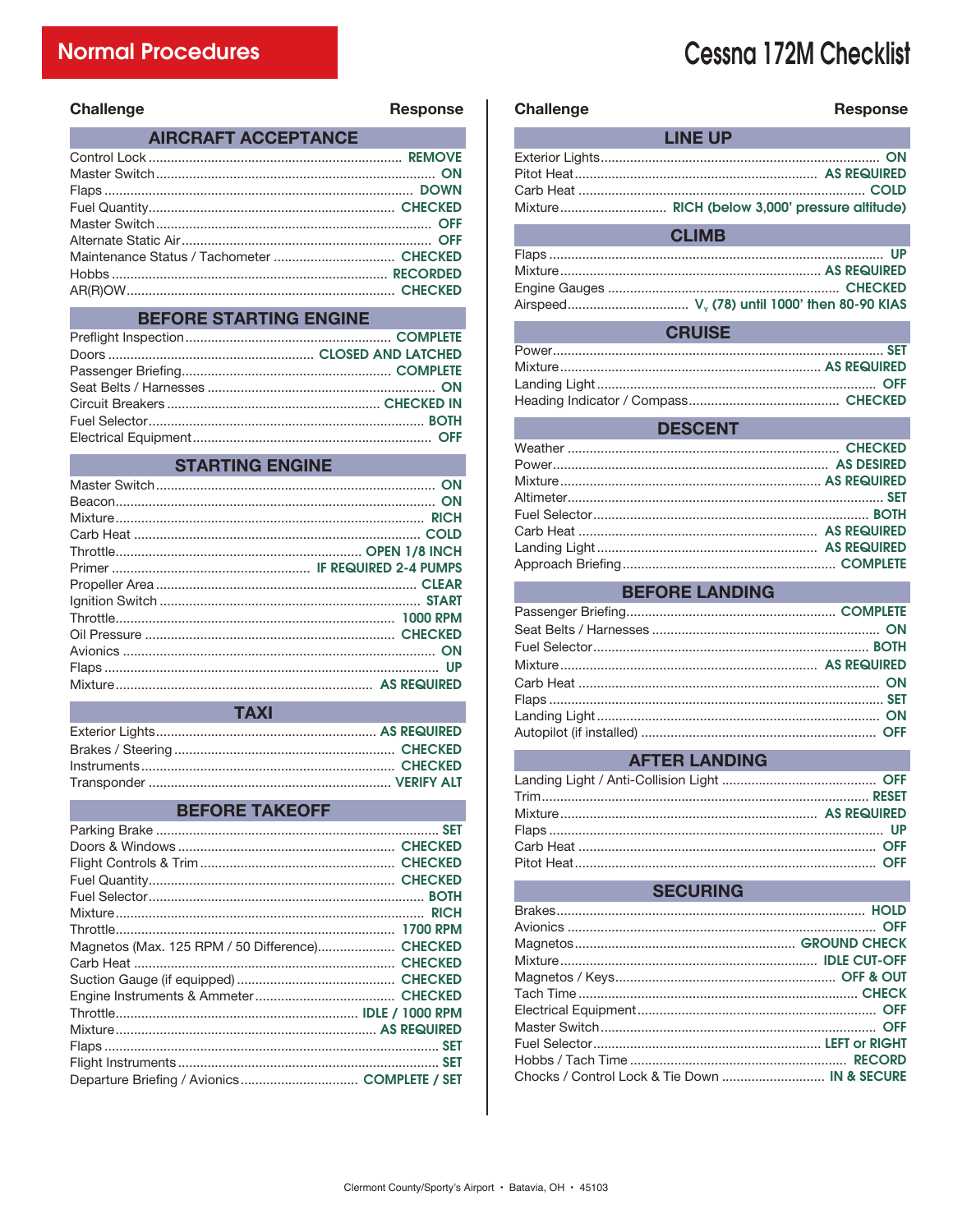# **Cessna 172M Checklist**

| Challenge | <b>Response</b> |
|-----------|-----------------|
|-----------|-----------------|

|  | AIRCRAFT ACCEPTANCE |  |
|--|---------------------|--|
|  |                     |  |

#### **BEFORE STARTING ENGINE**

#### **STARTING ENGINE**

| <b>TAXI</b> |  |
|-------------|--|
|             |  |
|             |  |
|             |  |
|             |  |

 $\pm$  and  $\pm$ 

#### **BEFORE TAKEOFF**

| Magnetos (Max. 125 RPM / 50 Difference) CHECKED |  |
|-------------------------------------------------|--|
|                                                 |  |
|                                                 |  |
|                                                 |  |
|                                                 |  |
|                                                 |  |
|                                                 |  |
|                                                 |  |
| Departure Briefing / Avionics COMPLETE / SET    |  |

| <b>Challenge</b> | <b>Response</b> |  |  |
|------------------|-----------------|--|--|
|                  | <b>LINE UP</b>  |  |  |
|                  |                 |  |  |
|                  |                 |  |  |
|                  |                 |  |  |
|                  |                 |  |  |
| <b>CLIMB</b>     |                 |  |  |
|                  |                 |  |  |
|                  |                 |  |  |
|                  |                 |  |  |
|                  |                 |  |  |

#### **CRUISE**

#### **DESCENT**

# **BEFORE LANDING**

| <b>Example 2016 AFTER LANDING</b> |  |
|-----------------------------------|--|
|                                   |  |
|                                   |  |
|                                   |  |
|                                   |  |
|                                   |  |
|                                   |  |
|                                   |  |

. . . . . . . . .

# **SECURING**

| Chocks / Control Lock & Tie Down  IN & SECURE |  |
|-----------------------------------------------|--|
|                                               |  |